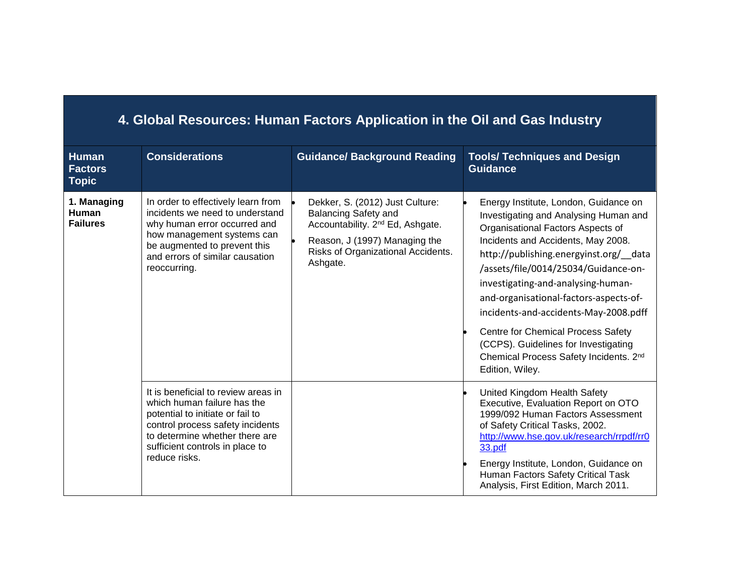| 4. Global Resources: Human Factors Application in the Oil and Gas Industry |                                                                                                                                                                                                                                  |                                                                                                                                                                                                   |                                                                                                                                                                                                                                                                                                                                                                                                                                                                                                                             |  |  |  |
|----------------------------------------------------------------------------|----------------------------------------------------------------------------------------------------------------------------------------------------------------------------------------------------------------------------------|---------------------------------------------------------------------------------------------------------------------------------------------------------------------------------------------------|-----------------------------------------------------------------------------------------------------------------------------------------------------------------------------------------------------------------------------------------------------------------------------------------------------------------------------------------------------------------------------------------------------------------------------------------------------------------------------------------------------------------------------|--|--|--|
| <b>Human</b><br><b>Factors</b><br><b>Topic</b>                             | <b>Considerations</b>                                                                                                                                                                                                            | <b>Guidance/ Background Reading</b>                                                                                                                                                               | <b>Tools/ Techniques and Design</b><br><b>Guidance</b>                                                                                                                                                                                                                                                                                                                                                                                                                                                                      |  |  |  |
| 1. Managing<br><b>Human</b><br><b>Failures</b>                             | In order to effectively learn from<br>incidents we need to understand<br>why human error occurred and<br>how management systems can<br>be augmented to prevent this<br>and errors of similar causation<br>reoccurring.           | Dekker, S. (2012) Just Culture:<br><b>Balancing Safety and</b><br>Accountability. 2 <sup>nd</sup> Ed, Ashgate.<br>Reason, J (1997) Managing the<br>Risks of Organizational Accidents.<br>Ashgate. | Energy Institute, London, Guidance on<br>Investigating and Analysing Human and<br>Organisational Factors Aspects of<br>Incidents and Accidents, May 2008.<br>http://publishing.energyinst.org/ data<br>/assets/file/0014/25034/Guidance-on-<br>investigating-and-analysing-human-<br>and-organisational-factors-aspects-of-<br>incidents-and-accidents-May-2008.pdff<br>Centre for Chemical Process Safety<br>(CCPS). Guidelines for Investigating<br>Chemical Process Safety Incidents. 2 <sup>nd</sup><br>Edition, Wiley. |  |  |  |
|                                                                            | It is beneficial to review areas in<br>which human failure has the<br>potential to initiate or fail to<br>control process safety incidents<br>to determine whether there are<br>sufficient controls in place to<br>reduce risks. |                                                                                                                                                                                                   | United Kingdom Health Safety<br>Executive, Evaluation Report on OTO<br>1999/092 Human Factors Assessment<br>of Safety Critical Tasks, 2002.<br>http://www.hse.gov.uk/research/rrpdf/rr0<br>33.pdf<br>Energy Institute, London, Guidance on<br>Human Factors Safety Critical Task<br>Analysis, First Edition, March 2011.                                                                                                                                                                                                    |  |  |  |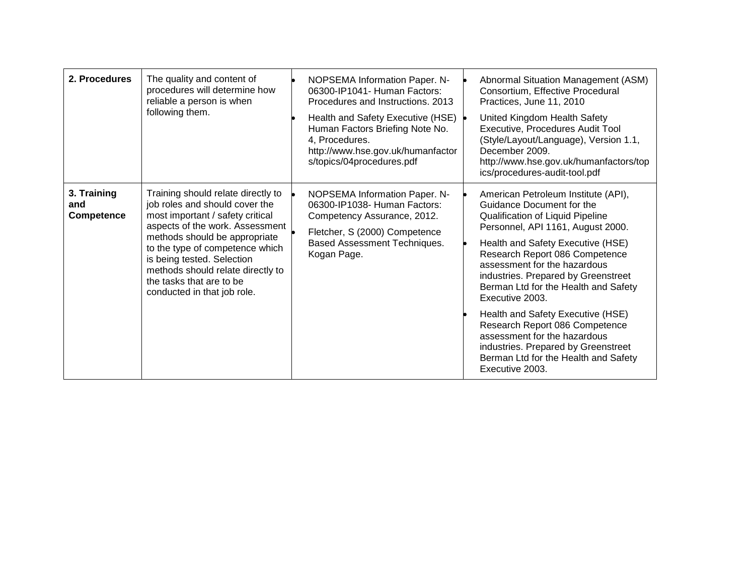| 2. Procedures                    | The quality and content of<br>procedures will determine how<br>reliable a person is when<br>following them.                                                                                                                                                                                                                                   | NOPSEMA Information Paper. N-<br>06300-IP1041- Human Factors:<br>Procedures and Instructions, 2013<br>Health and Safety Executive (HSE)<br>Human Factors Briefing Note No.<br>4, Procedures.<br>http://www.hse.gov.uk/humanfactor<br>s/topics/04procedures.pdf | Abnormal Situation Management (ASM)<br>Consortium, Effective Procedural<br>Practices, June 11, 2010<br>United Kingdom Health Safety<br>Executive, Procedures Audit Tool<br>(Style/Layout/Language), Version 1.1,<br>December 2009.<br>http://www.hse.gov.uk/humanfactors/top<br>ics/procedures-audit-tool.pdf                                                                                                                                                                                                                                               |
|----------------------------------|-----------------------------------------------------------------------------------------------------------------------------------------------------------------------------------------------------------------------------------------------------------------------------------------------------------------------------------------------|----------------------------------------------------------------------------------------------------------------------------------------------------------------------------------------------------------------------------------------------------------------|-------------------------------------------------------------------------------------------------------------------------------------------------------------------------------------------------------------------------------------------------------------------------------------------------------------------------------------------------------------------------------------------------------------------------------------------------------------------------------------------------------------------------------------------------------------|
| 3. Training<br>and<br>Competence | Training should relate directly to<br>job roles and should cover the<br>most important / safety critical<br>aspects of the work. Assessment<br>methods should be appropriate<br>to the type of competence which<br>is being tested. Selection<br>methods should relate directly to<br>the tasks that are to be<br>conducted in that job role. | NOPSEMA Information Paper. N-<br>06300-IP1038- Human Factors:<br>Competency Assurance, 2012.<br>Fletcher, S (2000) Competence<br>Based Assessment Techniques.<br>Kogan Page.                                                                                   | American Petroleum Institute (API),<br>Guidance Document for the<br>Qualification of Liquid Pipeline<br>Personnel, API 1161, August 2000.<br>Health and Safety Executive (HSE)<br>Research Report 086 Competence<br>assessment for the hazardous<br>industries. Prepared by Greenstreet<br>Berman Ltd for the Health and Safety<br>Executive 2003.<br>Health and Safety Executive (HSE)<br>Research Report 086 Competence<br>assessment for the hazardous<br>industries. Prepared by Greenstreet<br>Berman Ltd for the Health and Safety<br>Executive 2003. |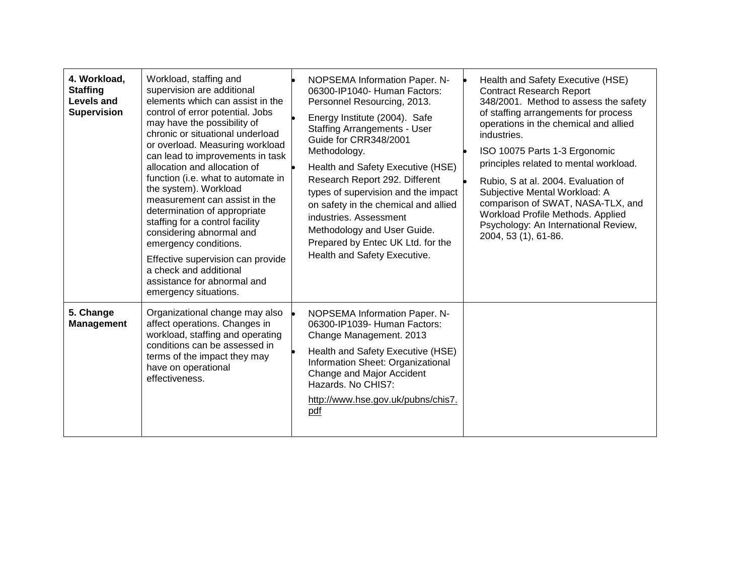| 4. Workload,<br><b>Staffing</b><br><b>Levels and</b><br><b>Supervision</b> | Workload, staffing and<br>supervision are additional<br>elements which can assist in the<br>control of error potential. Jobs<br>may have the possibility of<br>chronic or situational underload<br>or overload. Measuring workload<br>can lead to improvements in task<br>allocation and allocation of<br>function (i.e. what to automate in<br>the system). Workload<br>measurement can assist in the<br>determination of appropriate<br>staffing for a control facility<br>considering abnormal and<br>emergency conditions.<br>Effective supervision can provide<br>a check and additional<br>assistance for abnormal and<br>emergency situations. | NOPSEMA Information Paper. N-<br>06300-IP1040- Human Factors:<br>Personnel Resourcing, 2013.<br>Energy Institute (2004). Safe<br><b>Staffing Arrangements - User</b><br>Guide for CRR348/2001<br>Methodology.<br>Health and Safety Executive (HSE)<br>Research Report 292. Different<br>types of supervision and the impact<br>on safety in the chemical and allied<br>industries. Assessment<br>Methodology and User Guide.<br>Prepared by Entec UK Ltd. for the<br>Health and Safety Executive. | Health and Safety Executive (HSE)<br><b>Contract Research Report</b><br>348/2001. Method to assess the safety<br>of staffing arrangements for process<br>operations in the chemical and allied<br>industries.<br>ISO 10075 Parts 1-3 Ergonomic<br>principles related to mental workload.<br>Rubio, S at al. 2004. Evaluation of<br>Subjective Mental Workload: A<br>comparison of SWAT, NASA-TLX, and<br>Workload Profile Methods. Applied<br>Psychology: An International Review,<br>2004, 53 (1), 61-86. |
|----------------------------------------------------------------------------|-------------------------------------------------------------------------------------------------------------------------------------------------------------------------------------------------------------------------------------------------------------------------------------------------------------------------------------------------------------------------------------------------------------------------------------------------------------------------------------------------------------------------------------------------------------------------------------------------------------------------------------------------------|---------------------------------------------------------------------------------------------------------------------------------------------------------------------------------------------------------------------------------------------------------------------------------------------------------------------------------------------------------------------------------------------------------------------------------------------------------------------------------------------------|------------------------------------------------------------------------------------------------------------------------------------------------------------------------------------------------------------------------------------------------------------------------------------------------------------------------------------------------------------------------------------------------------------------------------------------------------------------------------------------------------------|
| 5. Change<br><b>Management</b>                                             | Organizational change may also<br>affect operations. Changes in<br>workload, staffing and operating<br>conditions can be assessed in<br>terms of the impact they may<br>have on operational<br>effectiveness.                                                                                                                                                                                                                                                                                                                                                                                                                                         | NOPSEMA Information Paper. N-<br>06300-IP1039- Human Factors:<br>Change Management. 2013<br>Health and Safety Executive (HSE)<br>Information Sheet: Organizational<br>Change and Major Accident<br>Hazards. No CHIS7:<br>http://www.hse.gov.uk/pubns/chis7.<br>pdf                                                                                                                                                                                                                                |                                                                                                                                                                                                                                                                                                                                                                                                                                                                                                            |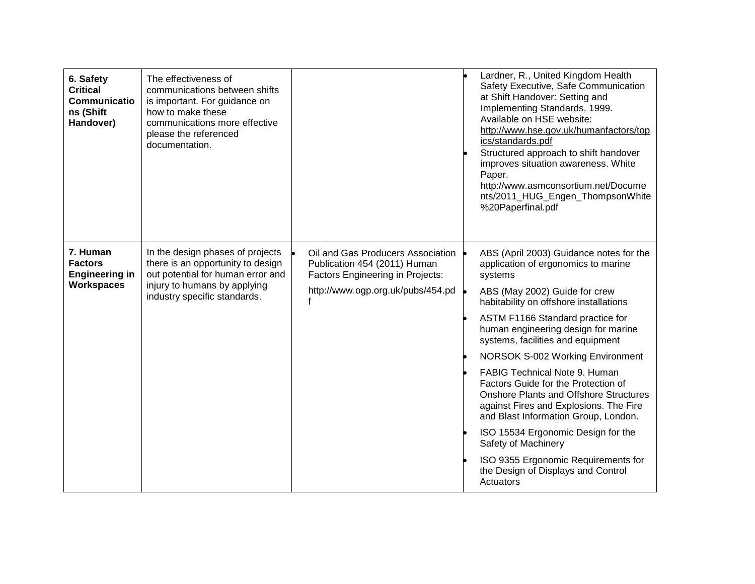| 6. Safety<br><b>Critical</b><br>Communicatio<br>ns (Shift<br>Handover)   | The effectiveness of<br>communications between shifts<br>is important. For guidance on<br>how to make these<br>communications more effective<br>please the referenced<br>documentation. |                                                                                                                                            | Lardner, R., United Kingdom Health<br>Safety Executive, Safe Communication<br>at Shift Handover: Setting and<br>Implementing Standards, 1999.<br>Available on HSE website:<br>http://www.hse.gov.uk/humanfactors/top<br>ics/standards.pdf<br>Structured approach to shift handover<br>improves situation awareness. White<br>Paper.<br>http://www.asmconsortium.net/Docume<br>nts/2011_HUG_Engen_ThompsonWhite<br>%20Paperfinal.pdf                                                                                                                                                                                                                                                               |
|--------------------------------------------------------------------------|-----------------------------------------------------------------------------------------------------------------------------------------------------------------------------------------|--------------------------------------------------------------------------------------------------------------------------------------------|---------------------------------------------------------------------------------------------------------------------------------------------------------------------------------------------------------------------------------------------------------------------------------------------------------------------------------------------------------------------------------------------------------------------------------------------------------------------------------------------------------------------------------------------------------------------------------------------------------------------------------------------------------------------------------------------------|
| 7. Human<br><b>Factors</b><br><b>Engineering in</b><br><b>Workspaces</b> | In the design phases of projects<br>there is an opportunity to design<br>out potential for human error and<br>injury to humans by applying<br>industry specific standards.              | Oil and Gas Producers Association<br>Publication 454 (2011) Human<br>Factors Engineering in Projects:<br>http://www.ogp.org.uk/pubs/454.pd | ABS (April 2003) Guidance notes for the<br>application of ergonomics to marine<br>systems<br>ABS (May 2002) Guide for crew<br>habitability on offshore installations<br>ASTM F1166 Standard practice for<br>human engineering design for marine<br>systems, facilities and equipment<br>NORSOK S-002 Working Environment<br><b>FABIG Technical Note 9. Human</b><br>Factors Guide for the Protection of<br><b>Onshore Plants and Offshore Structures</b><br>against Fires and Explosions. The Fire<br>and Blast Information Group, London.<br>ISO 15534 Ergonomic Design for the<br>Safety of Machinery<br>ISO 9355 Ergonomic Requirements for<br>the Design of Displays and Control<br>Actuators |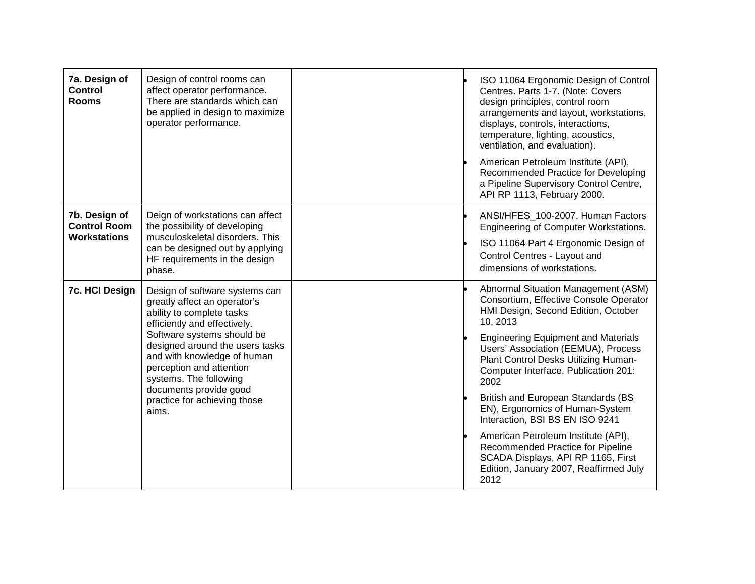| 7a. Design of<br><b>Control</b><br><b>Rooms</b>             | Design of control rooms can<br>affect operator performance.<br>There are standards which can<br>be applied in design to maximize<br>operator performance.                                                                                                                                                                                            |  | ISO 11064 Ergonomic Design of Control<br>Centres. Parts 1-7. (Note: Covers<br>design principles, control room<br>arrangements and layout, workstations,<br>displays, controls, interactions,<br>temperature, lighting, acoustics,<br>ventilation, and evaluation).<br>American Petroleum Institute (API),<br>Recommended Practice for Developing<br>a Pipeline Supervisory Control Centre,<br>API RP 1113, February 2000.                                                                                                                                                                            |
|-------------------------------------------------------------|------------------------------------------------------------------------------------------------------------------------------------------------------------------------------------------------------------------------------------------------------------------------------------------------------------------------------------------------------|--|------------------------------------------------------------------------------------------------------------------------------------------------------------------------------------------------------------------------------------------------------------------------------------------------------------------------------------------------------------------------------------------------------------------------------------------------------------------------------------------------------------------------------------------------------------------------------------------------------|
| 7b. Design of<br><b>Control Room</b><br><b>Workstations</b> | Deign of workstations can affect<br>the possibility of developing<br>musculoskeletal disorders. This<br>can be designed out by applying<br>HF requirements in the design<br>phase.                                                                                                                                                                   |  | ANSI/HFES_100-2007. Human Factors<br>Engineering of Computer Workstations.<br>ISO 11064 Part 4 Ergonomic Design of<br>Control Centres - Layout and<br>dimensions of workstations.                                                                                                                                                                                                                                                                                                                                                                                                                    |
| <b>7c. HCI Design</b>                                       | Design of software systems can<br>greatly affect an operator's<br>ability to complete tasks<br>efficiently and effectively.<br>Software systems should be<br>designed around the users tasks<br>and with knowledge of human<br>perception and attention<br>systems. The following<br>documents provide good<br>practice for achieving those<br>aims. |  | Abnormal Situation Management (ASM)<br>Consortium, Effective Console Operator<br>HMI Design, Second Edition, October<br>10, 2013<br><b>Engineering Equipment and Materials</b><br>Users' Association (EEMUA), Process<br>Plant Control Desks Utilizing Human-<br>Computer Interface, Publication 201:<br>2002<br><b>British and European Standards (BS</b><br>EN), Ergonomics of Human-System<br>Interaction, BSI BS EN ISO 9241<br>American Petroleum Institute (API),<br>Recommended Practice for Pipeline<br>SCADA Displays, API RP 1165, First<br>Edition, January 2007, Reaffirmed July<br>2012 |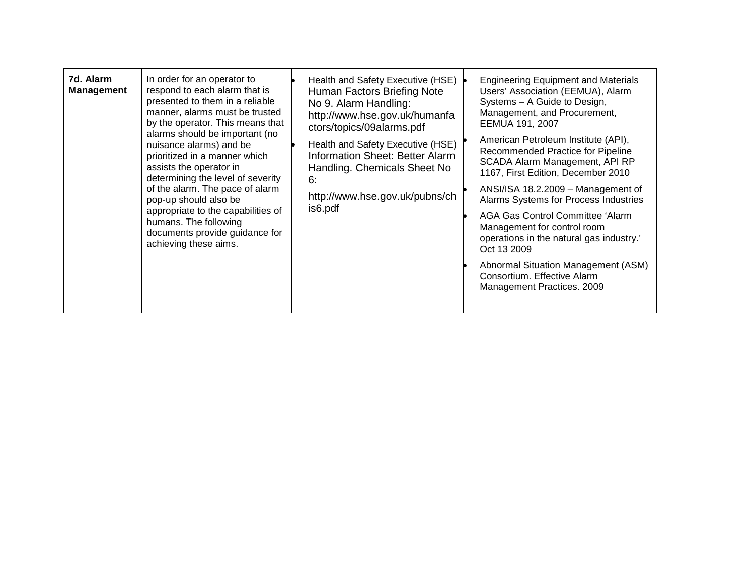| 7d. Alarm<br>In order for an operator to<br>respond to each alarm that is<br><b>Management</b><br>presented to them in a reliable<br>manner, alarms must be trusted<br>by the operator. This means that<br>alarms should be important (no<br>nuisance alarms) and be<br>prioritized in a manner which<br>assists the operator in<br>determining the level of severity<br>of the alarm. The pace of alarm<br>pop-up should also be<br>appropriate to the capabilities of<br>humans. The following<br>documents provide guidance for<br>achieving these aims. | Health and Safety Executive (HSE)<br>Human Factors Briefing Note<br>No 9. Alarm Handling:<br>http://www.hse.gov.uk/humanfa<br>ctors/topics/09alarms.pdf<br>Health and Safety Executive (HSE)<br><b>Information Sheet: Better Alarm</b><br>Handling. Chemicals Sheet No<br>6:<br>http://www.hse.gov.uk/pubns/ch<br>is6.pdf | <b>Engineering Equipment and Materials</b><br>Users' Association (EEMUA), Alarm<br>Systems - A Guide to Design,<br>Management, and Procurement,<br>EEMUA 191, 2007<br>American Petroleum Institute (API),<br>Recommended Practice for Pipeline<br>SCADA Alarm Management, API RP<br>1167, First Edition, December 2010<br>ANSI/ISA 18.2.2009 - Management of<br>Alarms Systems for Process Industries<br>AGA Gas Control Committee 'Alarm<br>Management for control room<br>operations in the natural gas industry.'<br>Oct 13 2009<br>Abnormal Situation Management (ASM)<br>Consortium. Effective Alarm<br>Management Practices. 2009 |
|-------------------------------------------------------------------------------------------------------------------------------------------------------------------------------------------------------------------------------------------------------------------------------------------------------------------------------------------------------------------------------------------------------------------------------------------------------------------------------------------------------------------------------------------------------------|---------------------------------------------------------------------------------------------------------------------------------------------------------------------------------------------------------------------------------------------------------------------------------------------------------------------------|-----------------------------------------------------------------------------------------------------------------------------------------------------------------------------------------------------------------------------------------------------------------------------------------------------------------------------------------------------------------------------------------------------------------------------------------------------------------------------------------------------------------------------------------------------------------------------------------------------------------------------------------|
|-------------------------------------------------------------------------------------------------------------------------------------------------------------------------------------------------------------------------------------------------------------------------------------------------------------------------------------------------------------------------------------------------------------------------------------------------------------------------------------------------------------------------------------------------------------|---------------------------------------------------------------------------------------------------------------------------------------------------------------------------------------------------------------------------------------------------------------------------------------------------------------------------|-----------------------------------------------------------------------------------------------------------------------------------------------------------------------------------------------------------------------------------------------------------------------------------------------------------------------------------------------------------------------------------------------------------------------------------------------------------------------------------------------------------------------------------------------------------------------------------------------------------------------------------------|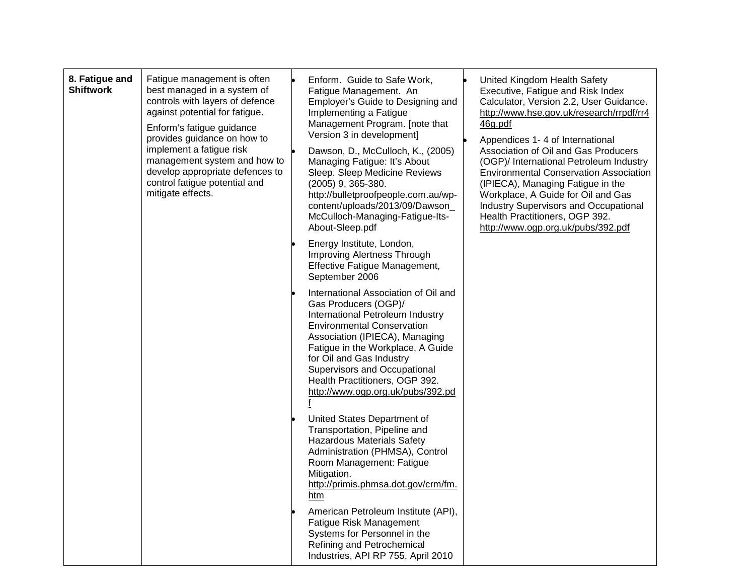| 8. Fatigue and<br><b>Shiftwork</b> | Fatigue management is often<br>best managed in a system of<br>controls with layers of defence<br>against potential for fatigue.<br>Enform's fatigue guidance<br>provides guidance on how to<br>implement a fatigue risk<br>management system and how to<br>develop appropriate defences to<br>control fatigue potential and<br>mitigate effects. | Enform. Guide to Safe Work,<br>Fatigue Management. An<br>Employer's Guide to Designing and<br>Implementing a Fatigue<br>Management Program. [note that<br>Version 3 in development]<br>Dawson, D., McCulloch, K., (2005)<br>Managing Fatigue: It's About<br>Sleep. Sleep Medicine Reviews<br>(2005) 9, 365-380.<br>http://bulletproofpeople.com.au/wp-<br>content/uploads/2013/09/Dawson<br>McCulloch-Managing-Fatigue-Its-<br>About-Sleep.pdf<br>Energy Institute, London,<br>Improving Alertness Through<br>Effective Fatigue Management, | United Kingdom Health Safety<br>Executive, Fatigue and Risk Index<br>Calculator, Version 2.2, User Guidance.<br>http://www.hse.gov.uk/research/rrpdf/rr4<br>46g.pdf<br>Appendices 1-4 of International<br>Association of Oil and Gas Producers<br>(OGP)/ International Petroleum Industry<br><b>Environmental Conservation Association</b><br>(IPIECA), Managing Fatigue in the<br>Workplace, A Guide for Oil and Gas<br><b>Industry Supervisors and Occupational</b><br>Health Practitioners, OGP 392.<br>http://www.ogp.org.uk/pubs/392.pdf |
|------------------------------------|--------------------------------------------------------------------------------------------------------------------------------------------------------------------------------------------------------------------------------------------------------------------------------------------------------------------------------------------------|---------------------------------------------------------------------------------------------------------------------------------------------------------------------------------------------------------------------------------------------------------------------------------------------------------------------------------------------------------------------------------------------------------------------------------------------------------------------------------------------------------------------------------------------|-----------------------------------------------------------------------------------------------------------------------------------------------------------------------------------------------------------------------------------------------------------------------------------------------------------------------------------------------------------------------------------------------------------------------------------------------------------------------------------------------------------------------------------------------|
|                                    |                                                                                                                                                                                                                                                                                                                                                  | September 2006<br>International Association of Oil and<br>Gas Producers (OGP)/<br>International Petroleum Industry<br><b>Environmental Conservation</b><br>Association (IPIECA), Managing<br>Fatigue in the Workplace, A Guide<br>for Oil and Gas Industry<br>Supervisors and Occupational<br>Health Practitioners, OGP 392.<br>http://www.ogp.org.uk/pubs/392.pd<br>f                                                                                                                                                                      |                                                                                                                                                                                                                                                                                                                                                                                                                                                                                                                                               |
|                                    |                                                                                                                                                                                                                                                                                                                                                  | United States Department of<br>Transportation, Pipeline and<br><b>Hazardous Materials Safety</b><br>Administration (PHMSA), Control<br>Room Management: Fatigue<br>Mitigation.<br>http://primis.phmsa.dot.gov/crm/fm.<br>htm                                                                                                                                                                                                                                                                                                                |                                                                                                                                                                                                                                                                                                                                                                                                                                                                                                                                               |
|                                    |                                                                                                                                                                                                                                                                                                                                                  | American Petroleum Institute (API),<br>Fatigue Risk Management<br>Systems for Personnel in the<br>Refining and Petrochemical<br>Industries, API RP 755, April 2010                                                                                                                                                                                                                                                                                                                                                                          |                                                                                                                                                                                                                                                                                                                                                                                                                                                                                                                                               |